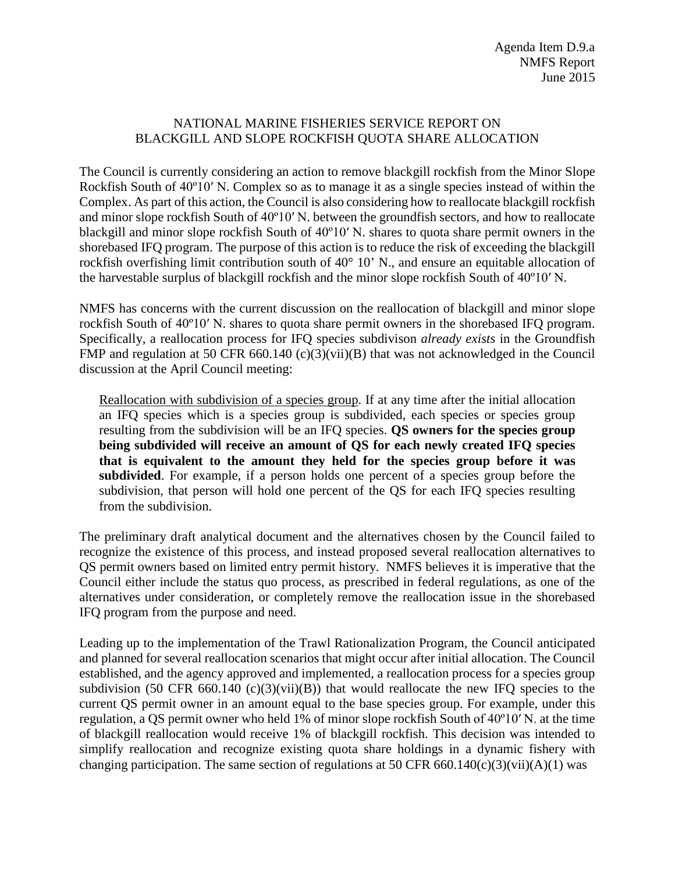## NATIONAL MARINE FISHERIES SERVICE REPORT ON BLACKGILL AND SLOPE ROCKFISH QUOTA SHARE ALLOCATION

The Council is currently considering an action to remove blackgill rockfish from the Minor Slope Rockfish South of 40º10′ N. Complex so as to manage it as a single species instead of within the Complex. As part of this action, the Council is also considering how to reallocate blackgill rockfish and minor slope rockfish South of 40º10′ N. between the groundfish sectors, and how to reallocate blackgill and minor slope rockfish South of 40º10′ N. shares to quota share permit owners in the shorebased IFQ program. The purpose of this action is to reduce the risk of exceeding the blackgill rockfish overfishing limit contribution south of 40° 10' N., and ensure an equitable allocation of the harvestable surplus of blackgill rockfish and the minor slope rockfish South of 40º10′ N.

NMFS has concerns with the current discussion on the reallocation of blackgill and minor slope rockfish South of 40º10′ N. shares to quota share permit owners in the shorebased IFQ program. Specifically, a reallocation process for IFQ species subdivison *already exists* in the Groundfish FMP and regulation at 50 CFR 660.140 (c)(3)(vii)(B) that was not acknowledged in the Council discussion at the April Council meeting:

Reallocation with subdivision of a species group. If at any time after the initial allocation an IFQ species which is a species group is subdivided, each species or species group resulting from the subdivision will be an IFQ species. **QS owners for the species group being subdivided will receive an amount of QS for each newly created IFQ species that is equivalent to the amount they held for the species group before it was subdivided**. For example, if a person holds one percent of a species group before the subdivision, that person will hold one percent of the QS for each IFQ species resulting from the subdivision.

The preliminary draft analytical document and the alternatives chosen by the Council failed to recognize the existence of this process, and instead proposed several reallocation alternatives to QS permit owners based on limited entry permit history. NMFS believes it is imperative that the Council either include the status quo process, as prescribed in federal regulations, as one of the alternatives under consideration, or completely remove the reallocation issue in the shorebased IFQ program from the purpose and need.

Leading up to the implementation of the Trawl Rationalization Program, the Council anticipated and planned for several reallocation scenarios that might occur after initial allocation. The Council established, and the agency approved and implemented, a reallocation process for a species group subdivision (50 CFR 660.140 (c)(3)(vii)(B)) that would reallocate the new IFQ species to the current QS permit owner in an amount equal to the base species group. For example, under this regulation, a QS permit owner who held 1% of minor slope rockfish South of 40º10′ N. at the time of blackgill reallocation would receive 1% of blackgill rockfish. This decision was intended to simplify reallocation and recognize existing quota share holdings in a dynamic fishery with changing participation. The same section of regulations at 50 CFR 660.140(c)(3)(vii)(A)(1) was